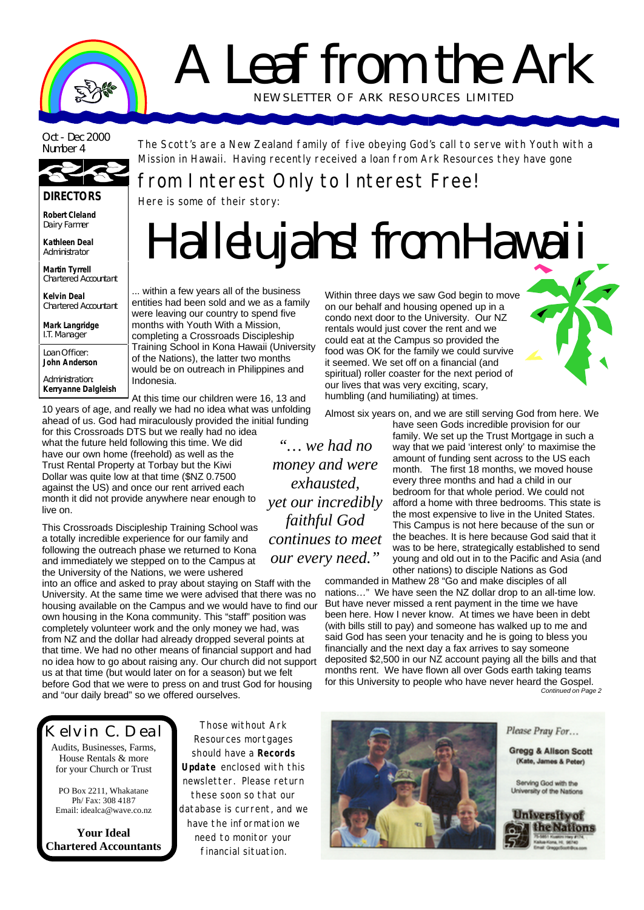# A Leaf from the Ark NEWSLETTER OF ARK RE SOURCES LIMITED

Oct - Dec 2000<br>Number 4



**DIRECTORS**

**Robert Cleland** Dairy Farmer

**Kathleen Deal** Administrator

**Martin Tyrrell** Chartered Accountant

**Kelvin Deal** Chartered Accountant

**Mark Langridge** I.T. Manager

Loan Officer: **John Anderson**

Administration: **Kerryanne Dalgleish** The Scott's are a New Zealand family of five obeying God's call to serve with Youth with a Mission in Hawaii. Having recently received a loan from Ark Resources they have gone

## from Interest Only to Interest Free!

Here is some of their story:

# *Hallelujahs! from Hawaii*

... within a few years all of the business entities had been sold and we as a family were leaving our country to spend five months with Youth With a Mission, completing a Crossroads Discipleship Training School in Kona Hawaii (University of the Nations), the latter two months would be on outreach in Philippines and Indonesia.

At this time our children were 16, 13 and 10 years of age, and really we had no idea what was unfolding

ahead of us. God had miraculously provided the initial funding for this Crossroads DTS but we really had no idea what the future held following this time. We did have our own home (freehold) as well as the Trust Rental Property at Torbay but the Kiwi Dollar was quite low at that time (\$NZ 0.7500 against the US) and once our rent arrived each month it did not provide anywhere near enough to live on.

This Crossroads Discipleship Training School was a totally incredible experience for our family and following the outreach phase we returned to Kona and immediately we stepped on to the Campus at the University of the Nations, we were ushered

into an office and asked to pray about staying on Staff with the University. At the same time we were advised that there was no housing available on the Campus and we would have to find our own housing in the Kona community. This "staff" position was completely volunteer work and the only money we had, was from NZ and the dollar had already dropped several points at that time. We had no other means of financial support and had no idea how to go about raising any. Our church did not support us at that time (but would later on for a season) but we felt before God that we were to press on and trust God for housing and "our daily bread" so we offered ourselves.

Kelvin C. Deal

Audits, Businesses, Farms, House Rentals & more for your Church or Trust

PO Box 2211, Whakatane Ph/ Fax: 308 4187 Email: idealca@wave.co.nz

**Your Ideal Chartered Accountants**

Those without Ark Resources mortgages should have a **Records Update** enclosed with this newsletter. Please return these soon so that our database is current, and we have the information we need to monitor your financial situation.

Within three days we saw God begin to move on our behalf and housing opened up in a condo next door to the University. Our NZ rentals would just cover the rent and we could eat at the Campus so provided the food was OK for the family we could survive it seemed. We set off on a financial (and spiritual) roller coaster for the next period of our lives that was very exciting, scary, humbling (and humiliating) at times.

Almost six years on, and we are still serving God from here. We

*"… we had no money and were exhausted, yet our incredibly faithful God continues to meet our every need."*

have seen Gods incredible provision for our family. We set up the Trust Mortgage in such a way that we paid 'interest only' to maximise the amount of funding sent across to the US each month. The first 18 months, we moved house every three months and had a child in our bedroom for that whole period. We could not afford a home with three bedrooms. This state is the most expensive to live in the United States. This Campus is not here because of the sun or the beaches. It is here because God said that it was to be here, strategically established to send young and old out in to the Pacific and Asia (and other nations) to disciple Nations as God

commanded in Mathew 28 "Go and make disciples of all nations…" We have seen the NZ dollar drop to an all-time low. But have never missed a rent payment in the time we have been here. How I never know. At times we have been in debt (with bills still to pay) and someone has walked up to me and said God has seen your tenacity and he is going to bless you financially and the next day a fax arrives to say someone deposited \$2,500 in our NZ account paying all the bills and that months rent. We have flown all over Gods earth taking teams for this University to people who have never heard the Gospel. *Continued on Page 2*



Please Pray For...

**Gregg & Allson Scott** (Kate, James & Peter)

Serving God with the University of the Nations